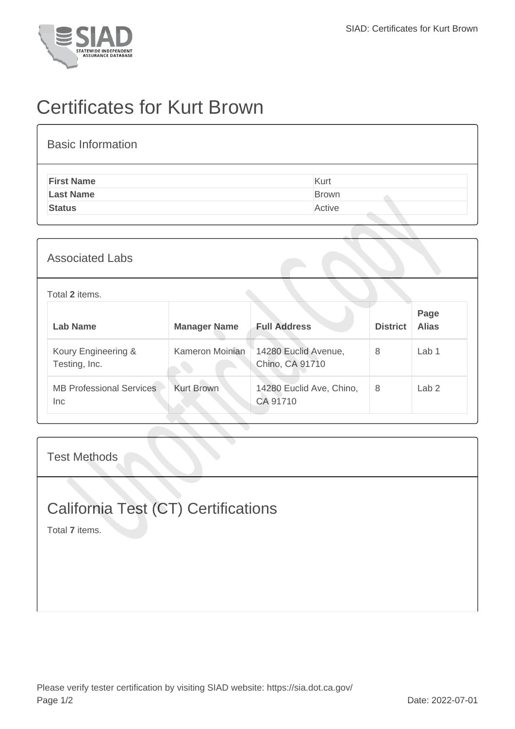

## Certificates for Kurt Brown

| <b>Basic Information</b> |              |
|--------------------------|--------------|
| <b>First Name</b>        | Kurt         |
| <b>Last Name</b>         | <b>Brown</b> |
| <b>Status</b>            | Active       |
|                          |              |

## Associated Labs

Total **2** items.

| Lab Name                                | <b>Manager Name</b> | <b>Full Address</b>                     | <b>District</b> | Page<br><b>Alias</b> |
|-----------------------------------------|---------------------|-----------------------------------------|-----------------|----------------------|
| Koury Engineering &<br>Testing, Inc.    | Kameron Moinian     | 14280 Euclid Avenue,<br>Chino, CA 91710 | 8               | Lab <sub>1</sub>     |
| <b>MB Professional Services</b><br>Inc. | <b>Kurt Brown</b>   | 14280 Euclid Ave, Chino,<br>CA 91710    | 8               | Lab <sub>2</sub>     |

Test Methods

## California Test (CT) Certifications

Total **7** items.